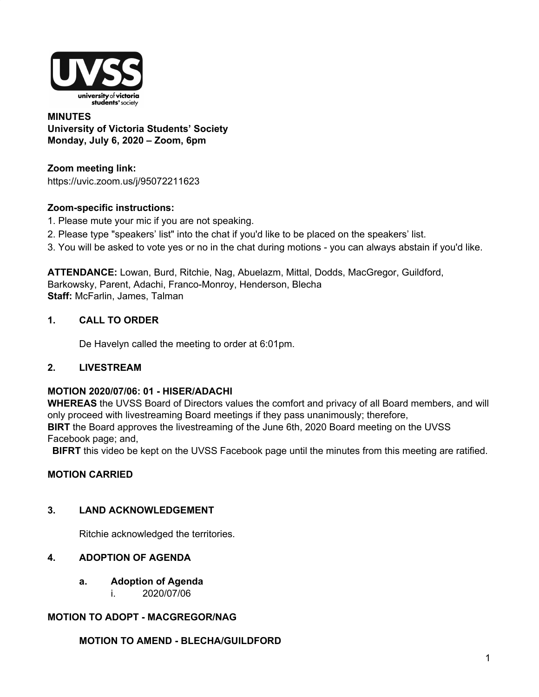

#### **MINUTES University of Victoria Students' Society Monday, July 6, 2020 – Zoom, 6pm**

**Zoom meeting link:** https://uvic.zoom.us/j/95072211623

## **Zoom-specific instructions:**

- 1. Please mute your mic if you are not speaking.
- 2. Please type "speakers' list" into the chat if you'd like to be placed on the speakers' list.
- 3. You will be asked to vote yes or no in the chat during motions you can always abstain if you'd like.

**ATTENDANCE:** Lowan, Burd, Ritchie, Nag, Abuelazm, Mittal, Dodds, MacGregor, Guildford, Barkowsky, Parent, Adachi, Franco-Monroy, Henderson, Blecha **Staff:** McFarlin, James, Talman

## **1. CALL TO ORDER**

De Havelyn called the meeting to order at 6:01pm.

### **2. LIVESTREAM**

### **MOTION 2020/07/06: 01 - HISER/ADACHI**

**WHEREAS** the UVSS Board of Directors values the comfort and privacy of all Board members, and will only proceed with livestreaming Board meetings if they pass unanimously; therefore, **BIRT** the Board approves the livestreaming of the June 6th, 2020 Board meeting on the UVSS Facebook page; and,

**BIFRT** this video be kept on the UVSS Facebook page until the minutes from this meeting are ratified.

### **MOTION CARRIED**

### **3. LAND ACKNOWLEDGEMENT**

Ritchie acknowledged the territories.

## **4. ADOPTION OF AGENDA**

- **a. Adoption of Agenda**
	- i. 2020/07/06

# **MOTION TO ADOPT - MACGREGOR/NAG**

### **MOTION TO AMEND - BLECHA/GUILDFORD**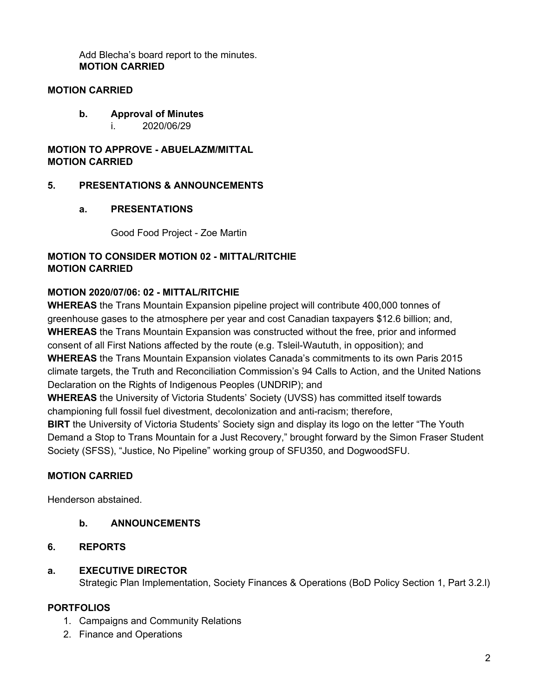Add Blecha's board report to the minutes. **MOTION CARRIED**

#### **MOTION CARRIED**

**b. Approval of Minutes** i. 2020/06/29

#### **MOTION TO APPROVE - ABUELAZM/MITTAL MOTION CARRIED**

### **5. PRESENTATIONS & ANNOUNCEMENTS**

### **a. PRESENTATIONS**

Good Food Project - Zoe Martin

## **MOTION TO CONSIDER MOTION 02 - MITTAL/RITCHIE MOTION CARRIED**

# **MOTION 2020/07/06: 02 - MITTAL/RITCHIE**

**WHEREAS** the Trans Mountain Expansion pipeline project will contribute 400,000 tonnes of greenhouse gases to the atmosphere per year and cost Canadian taxpayers \$12.6 billion; and, **WHEREAS** the Trans Mountain Expansion was constructed without the free, prior and informed consent of all First Nations affected by the route (e.g. Tsleil-Waututh, in opposition); and **WHEREAS** the Trans Mountain Expansion violates Canada's commitments to its own Paris 2015 climate targets, the Truth and Reconciliation Commission's 94 Calls to Action, and the United Nations Declaration on the Rights of Indigenous Peoples (UNDRIP); and

**WHEREAS** the University of Victoria Students' Society (UVSS) has committed itself towards championing full fossil fuel divestment, decolonization and anti-racism; therefore,

**BIRT** the University of Victoria Students' Society sign and display its logo on the letter "The Youth Demand a Stop to Trans Mountain for a Just Recovery," brought forward by the Simon Fraser Student Society (SFSS), "Justice, No Pipeline" working group of SFU350, and DogwoodSFU.

### **MOTION CARRIED**

Henderson abstained.

- **b. ANNOUNCEMENTS**
- **6. REPORTS**

### **a. EXECUTIVE DIRECTOR**

Strategic Plan Implementation, Society Finances & Operations (BoD Policy Section 1, Part 3.2.l)

### **PORTFOLIOS**

- 1. Campaigns and Community Relations
- 2. Finance and Operations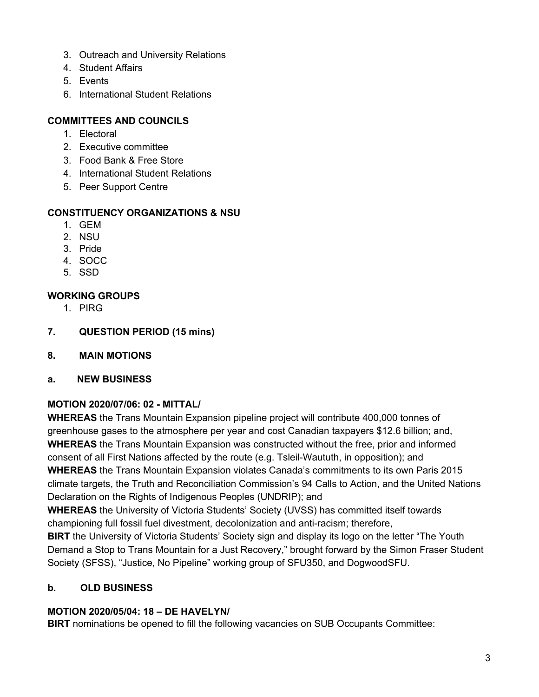- 3. Outreach and University Relations
- 4. Student Affairs
- 5. Events
- 6. International Student Relations

## **COMMITTEES AND COUNCILS**

- 1. Electoral
- 2. Executive committee
- 3. Food Bank & Free Store
- 4. International Student Relations
- 5. Peer Support Centre

## **CONSTITUENCY ORGANIZATIONS & NSU**

- 1. GEM
- 2. NSU
- 3. Pride
- 4. SOCC
- 5. SSD

## **WORKING GROUPS**

- 1. PIRG
- **7. QUESTION PERIOD (15 mins)**
- **8. MAIN MOTIONS**
- **a. NEW BUSINESS**

# **MOTION 2020/07/06: 02 - MITTAL/**

**WHEREAS** the Trans Mountain Expansion pipeline project will contribute 400,000 tonnes of greenhouse gases to the atmosphere per year and cost Canadian taxpayers \$12.6 billion; and, **WHEREAS** the Trans Mountain Expansion was constructed without the free, prior and informed consent of all First Nations affected by the route (e.g. Tsleil-Waututh, in opposition); and **WHEREAS** the Trans Mountain Expansion violates Canada's commitments to its own Paris 2015 climate targets, the Truth and Reconciliation Commission's 94 Calls to Action, and the United Nations Declaration on the Rights of Indigenous Peoples (UNDRIP); and

**WHEREAS** the University of Victoria Students' Society (UVSS) has committed itself towards championing full fossil fuel divestment, decolonization and anti-racism; therefore,

**BIRT** the University of Victoria Students' Society sign and display its logo on the letter "The Youth Demand a Stop to Trans Mountain for a Just Recovery," brought forward by the Simon Fraser Student Society (SFSS), "Justice, No Pipeline" working group of SFU350, and DogwoodSFU.

### **b. OLD BUSINESS**

### **MOTION 2020/05/04: 18 – DE HAVELYN/**

**BIRT** nominations be opened to fill the following vacancies on SUB Occupants Committee: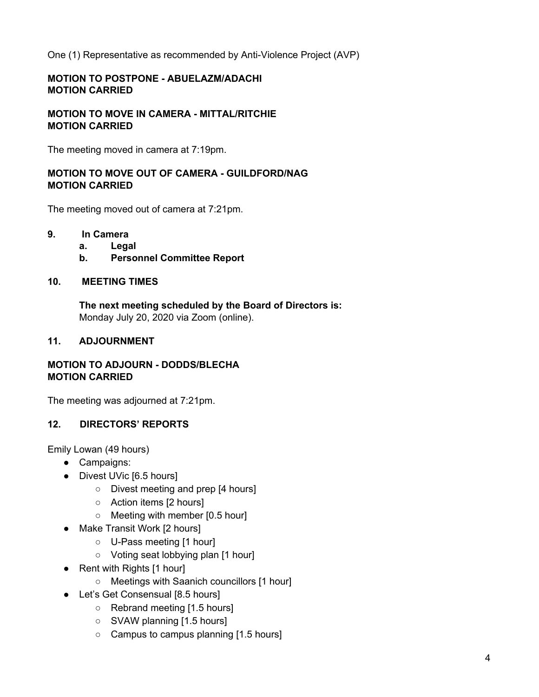One (1) Representative as recommended by Anti-Violence Project (AVP)

## **MOTION TO POSTPONE - ABUELAZM/ADACHI MOTION CARRIED**

**MOTION TO MOVE IN CAMERA - MITTAL/RITCHIE MOTION CARRIED**

The meeting moved in camera at 7:19pm.

## **MOTION TO MOVE OUT OF CAMERA - GUILDFORD/NAG MOTION CARRIED**

The meeting moved out of camera at 7:21pm.

- **9. In Camera**
	- **a. Legal**
		- **b. Personnel Committee Report**

#### **10. MEETING TIMES**

**The next meeting scheduled by the Board of Directors is:** Monday July 20, 2020 via Zoom (online).

## **11. ADJOURNMENT**

### **MOTION TO ADJOURN - DODDS/BLECHA MOTION CARRIED**

The meeting was adjourned at 7:21pm.

### **12. DIRECTORS' REPORTS**

Emily Lowan (49 hours)

- Campaigns:
- Divest UVic [6.5 hours]
	- Divest meeting and prep [4 hours]
	- Action items [2 hours]
	- Meeting with member [0.5 hour]
- Make Transit Work [2 hours]
	- U-Pass meeting [1 hour]
	- Voting seat lobbying plan [1 hour]
- Rent with Rights [1 hour]
	- Meetings with Saanich councillors [1 hour]
- Let's Get Consensual [8.5 hours]
	- Rebrand meeting [1.5 hours]
		- SVAW planning [1.5 hours]
		- Campus to campus planning [1.5 hours]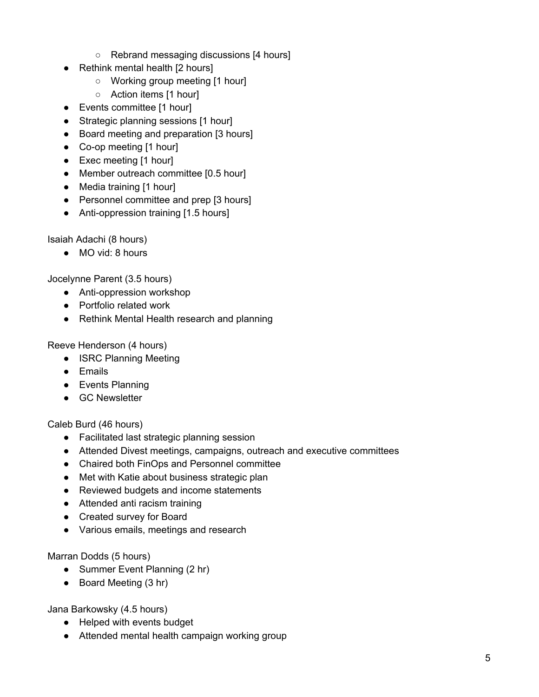- Rebrand messaging discussions [4 hours]
- Rethink mental health [2 hours]
	- Working group meeting [1 hour]
	- Action items [1 hour]
- Events committee [1 hour]
- Strategic planning sessions [1 hour]
- Board meeting and preparation [3 hours]
- Co-op meeting [1 hour]
- Exec meeting [1 hour]
- Member outreach committee [0.5 hour]
- Media training [1 hour]
- Personnel committee and prep [3 hours]
- Anti-oppression training [1.5 hours]

Isaiah Adachi (8 hours)

● MO vid: 8 hours

Jocelynne Parent (3.5 hours)

- Anti-oppression workshop
- Portfolio related work
- Rethink Mental Health research and planning

Reeve Henderson (4 hours)

- ISRC Planning Meeting
- Emails
- Events Planning
- GC Newsletter

Caleb Burd (46 hours)

- Facilitated last strategic planning session
- Attended Divest meetings, campaigns, outreach and executive committees
- Chaired both FinOps and Personnel committee
- Met with Katie about business strategic plan
- Reviewed budgets and income statements
- Attended anti racism training
- Created survey for Board
- Various emails, meetings and research

Marran Dodds (5 hours)

- Summer Event Planning (2 hr)
- Board Meeting (3 hr)

Jana Barkowsky (4.5 hours)

- Helped with events budget
- Attended mental health campaign working group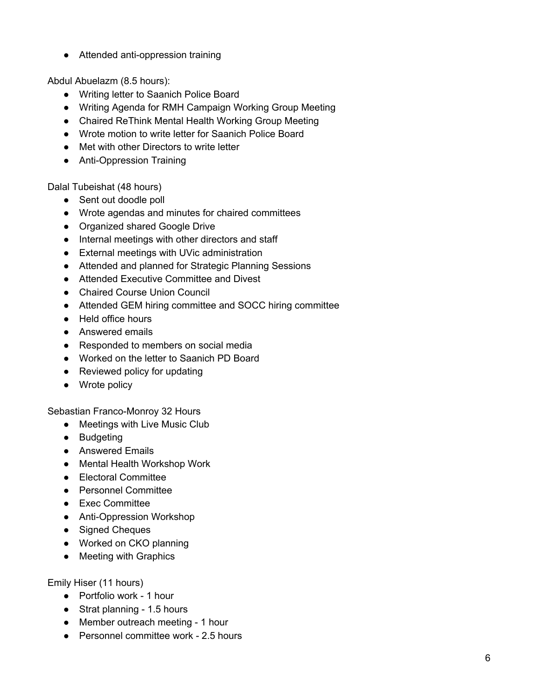● Attended anti-oppression training

Abdul Abuelazm (8.5 hours):

- Writing letter to Saanich Police Board
- Writing Agenda for RMH Campaign Working Group Meeting
- Chaired ReThink Mental Health Working Group Meeting
- Wrote motion to write letter for Saanich Police Board
- Met with other Directors to write letter
- Anti-Oppression Training

Dalal Tubeishat (48 hours)

- Sent out doodle poll
- Wrote agendas and minutes for chaired committees
- Organized shared Google Drive
- Internal meetings with other directors and staff
- External meetings with UVic administration
- Attended and planned for Strategic Planning Sessions
- Attended Executive Committee and Divest
- Chaired Course Union Council
- Attended GEM hiring committee and SOCC hiring committee
- Held office hours
- Answered emails
- Responded to members on social media
- Worked on the letter to Saanich PD Board
- Reviewed policy for updating
- Wrote policy

Sebastian Franco-Monroy 32 Hours

- Meetings with Live Music Club
- Budgeting
- Answered Emails
- Mental Health Workshop Work
- Electoral Committee
- Personnel Committee
- Exec Committee
- Anti-Oppression Workshop
- Signed Cheques
- Worked on CKO planning
- Meeting with Graphics

Emily Hiser (11 hours)

- Portfolio work 1 hour
- Strat planning 1.5 hours
- Member outreach meeting 1 hour
- Personnel committee work 2.5 hours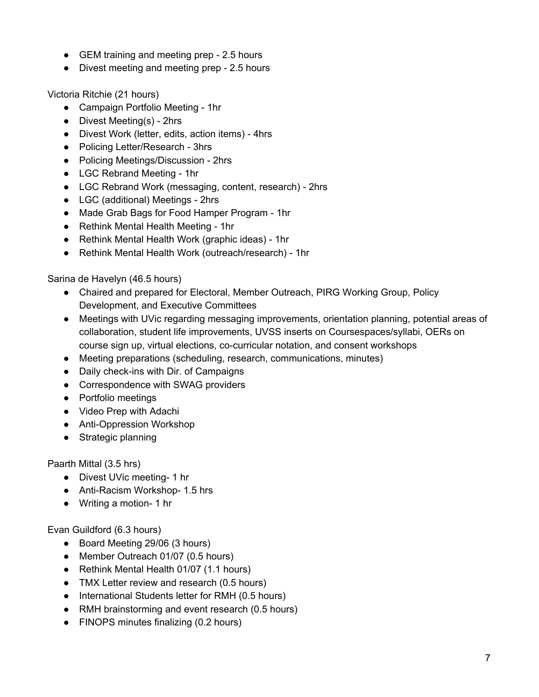- GEM training and meeting prep 2.5 hours
- Divest meeting and meeting prep 2.5 hours

Victoria Ritchie (21 hours)

- Campaign Portfolio Meeting 1hr
- Divest Meeting(s) 2hrs
- Divest Work (letter, edits, action items) 4hrs
- Policing Letter/Research 3hrs
- Policing Meetings/Discussion 2hrs
- LGC Rebrand Meeting 1hr
- LGC Rebrand Work (messaging, content, research) 2hrs
- LGC (additional) Meetings 2hrs
- Made Grab Bags for Food Hamper Program 1hr
- Rethink Mental Health Meeting 1hr
- Rethink Mental Health Work (graphic ideas) 1hr
- Rethink Mental Health Work (outreach/research) 1hr

Sarina de Havelyn (46.5 hours)

- Chaired and prepared for Electoral, Member Outreach, PIRG Working Group, Policy Development, and Executive Committees
- Meetings with UVic regarding messaging improvements, orientation planning, potential areas of collaboration, student life improvements, UVSS inserts on Coursespaces/syllabi, OERs on course sign up, virtual elections, co-curricular notation, and consent workshops
- Meeting preparations (scheduling, research, communications, minutes)
- Daily check-ins with Dir. of Campaigns
- Correspondence with SWAG providers
- Portfolio meetings
- Video Prep with Adachi
- Anti-Oppression Workshop
- Strategic planning

Paarth Mittal (3.5 hrs)

- Divest UVic meeting- 1 hr
- Anti-Racism Workshop- 1.5 hrs
- Writing a motion- 1 hr

Evan Guildford (6.3 hours)

- Board Meeting 29/06 (3 hours)
- Member Outreach 01/07 (0.5 hours)
- Rethink Mental Health 01/07 (1.1 hours)
- TMX Letter review and research (0.5 hours)
- International Students letter for RMH (0.5 hours)
- RMH brainstorming and event research (0.5 hours)
- FINOPS minutes finalizing (0.2 hours)